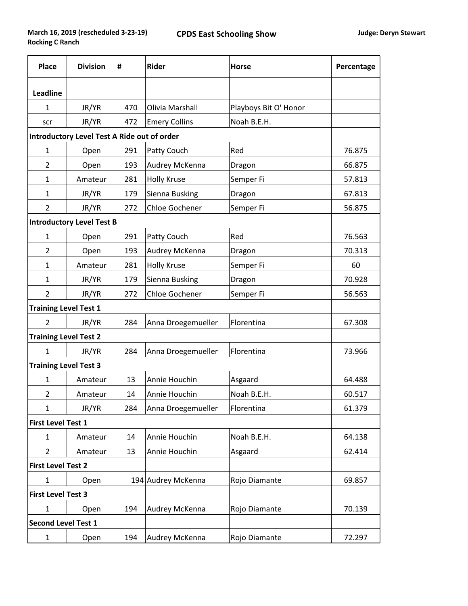| <b>Place</b>                                       | <b>Division</b> | Ħ.  | Rider                 | <b>Horse</b>          | Percentage |  |  |  |  |
|----------------------------------------------------|-----------------|-----|-----------------------|-----------------------|------------|--|--|--|--|
| <b>Leadline</b>                                    |                 |     |                       |                       |            |  |  |  |  |
| $\mathbf{1}$                                       | JR/YR           | 470 | Olivia Marshall       | Playboys Bit O' Honor |            |  |  |  |  |
| scr                                                | JR/YR           | 472 | <b>Emery Collins</b>  | Noah B.E.H.           |            |  |  |  |  |
| <b>Introductory Level Test A Ride out of order</b> |                 |     |                       |                       |            |  |  |  |  |
| $\mathbf{1}$                                       | Open            | 291 | Patty Couch           | Red                   | 76.875     |  |  |  |  |
| $\overline{2}$                                     | Open            | 193 | Audrey McKenna        | Dragon                | 66.875     |  |  |  |  |
| 1                                                  | Amateur         | 281 | <b>Holly Kruse</b>    | Semper Fi             | 57.813     |  |  |  |  |
| 1                                                  | JR/YR           | 179 | Sienna Busking        | Dragon                | 67.813     |  |  |  |  |
| 2                                                  | JR/YR           | 272 | <b>Chloe Gochener</b> | Semper Fi             | 56.875     |  |  |  |  |
| <b>Introductory Level Test B</b>                   |                 |     |                       |                       |            |  |  |  |  |
| 1                                                  | Open            | 291 | Patty Couch           | Red                   | 76.563     |  |  |  |  |
| 2                                                  | Open            | 193 | Audrey McKenna        | Dragon                | 70.313     |  |  |  |  |
| $\mathbf{1}$                                       | Amateur         | 281 | <b>Holly Kruse</b>    | Semper Fi             | 60         |  |  |  |  |
| 1                                                  | JR/YR           | 179 | Sienna Busking        | Dragon                | 70.928     |  |  |  |  |
| $\overline{2}$                                     | JR/YR           | 272 | <b>Chloe Gochener</b> | Semper Fi             | 56.563     |  |  |  |  |
| <b>Training Level Test 1</b>                       |                 |     |                       |                       |            |  |  |  |  |
| $\overline{2}$                                     | JR/YR           | 284 | Anna Droegemueller    | Florentina            | 67.308     |  |  |  |  |
| <b>Training Level Test 2</b>                       |                 |     |                       |                       |            |  |  |  |  |
| $\mathbf{1}$                                       | JR/YR           | 284 | Anna Droegemueller    | Florentina            | 73.966     |  |  |  |  |
| <b>Training Level Test 3</b>                       |                 |     |                       |                       |            |  |  |  |  |
| $\mathbf{1}$                                       | Amateur         | 13  | Annie Houchin         | Asgaard               | 64.488     |  |  |  |  |
| $\overline{2}$                                     | Amateur         | 14  | Annie Houchin         | Noah B.E.H.           | 60.517     |  |  |  |  |
| $\mathbf{1}$                                       | JR/YR           | 284 | Anna Droegemueller    | Florentina            | 61.379     |  |  |  |  |
| <b>First Level Test 1</b>                          |                 |     |                       |                       |            |  |  |  |  |
| 1                                                  | Amateur         | 14  | Annie Houchin         | Noah B.E.H.           | 64.138     |  |  |  |  |
| 2                                                  | Amateur         | 13  | Annie Houchin         | Asgaard               | 62.414     |  |  |  |  |
| <b>First Level Test 2</b>                          |                 |     |                       |                       |            |  |  |  |  |
| $\mathbf{1}$                                       | Open            |     | 194 Audrey McKenna    | Rojo Diamante         | 69.857     |  |  |  |  |
| <b>First Level Test 3</b>                          |                 |     |                       |                       |            |  |  |  |  |
| $\mathbf{1}$                                       | Open            | 194 | Audrey McKenna        | Rojo Diamante         | 70.139     |  |  |  |  |
| <b>Second Level Test 1</b>                         |                 |     |                       |                       |            |  |  |  |  |
| 1                                                  | Open            | 194 | Audrey McKenna        | Rojo Diamante         | 72.297     |  |  |  |  |